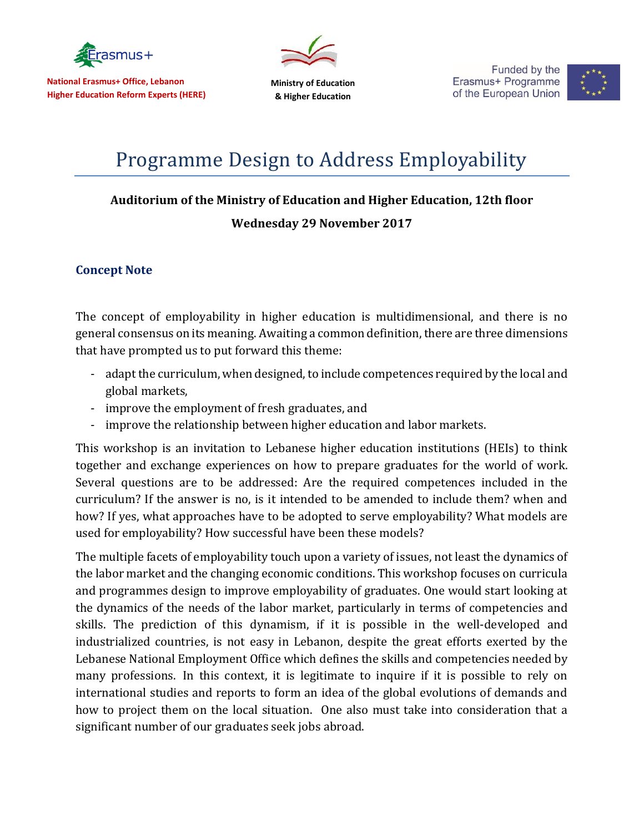

**National Erasmus+ Office, Lebanon Higher Education Reform Experts (HERE)**

**Ministry of Education & Higher Education**

Funded by the Erasmus+ Programme of the European Union



## Programme Design to Address Employability

## **Auditorium of the Ministry of Education and Higher Education, 12th floor**

## **Wednesday 29 November 2017**

## **Concept Note**

The concept of employability in higher education is multidimensional, and there is no general consensus on its meaning. Awaiting a common definition, there are three dimensions that have prompted us to put forward this theme:

- adapt the curriculum, when designed, to include competences required by the local and global markets,
- improve the employment of fresh graduates, and
- improve the relationship between higher education and labor markets.

This workshop is an invitation to Lebanese higher education institutions (HEIs) to think together and exchange experiences on how to prepare graduates for the world of work. Several questions are to be addressed: Are the required competences included in the curriculum? If the answer is no, is it intended to be amended to include them? when and how? If yes, what approaches have to be adopted to serve employability? What models are used for employability? How successful have been these models?

The multiple facets of employability touch upon a variety of issues, not least the dynamics of the labor market and the changing economic conditions. This workshop focuses on curricula and programmes design to improve employability of graduates. One would start looking at the dynamics of the needs of the labor market, particularly in terms of competencies and skills. The prediction of this dynamism, if it is possible in the well-developed and industrialized countries, is not easy in Lebanon, despite the great efforts exerted by the Lebanese National Employment Office which defines the skills and competencies needed by many professions. In this context, it is legitimate to inquire if it is possible to rely on international studies and reports to form an idea of the global evolutions of demands and how to project them on the local situation. One also must take into consideration that a significant number of our graduates seek jobs abroad.